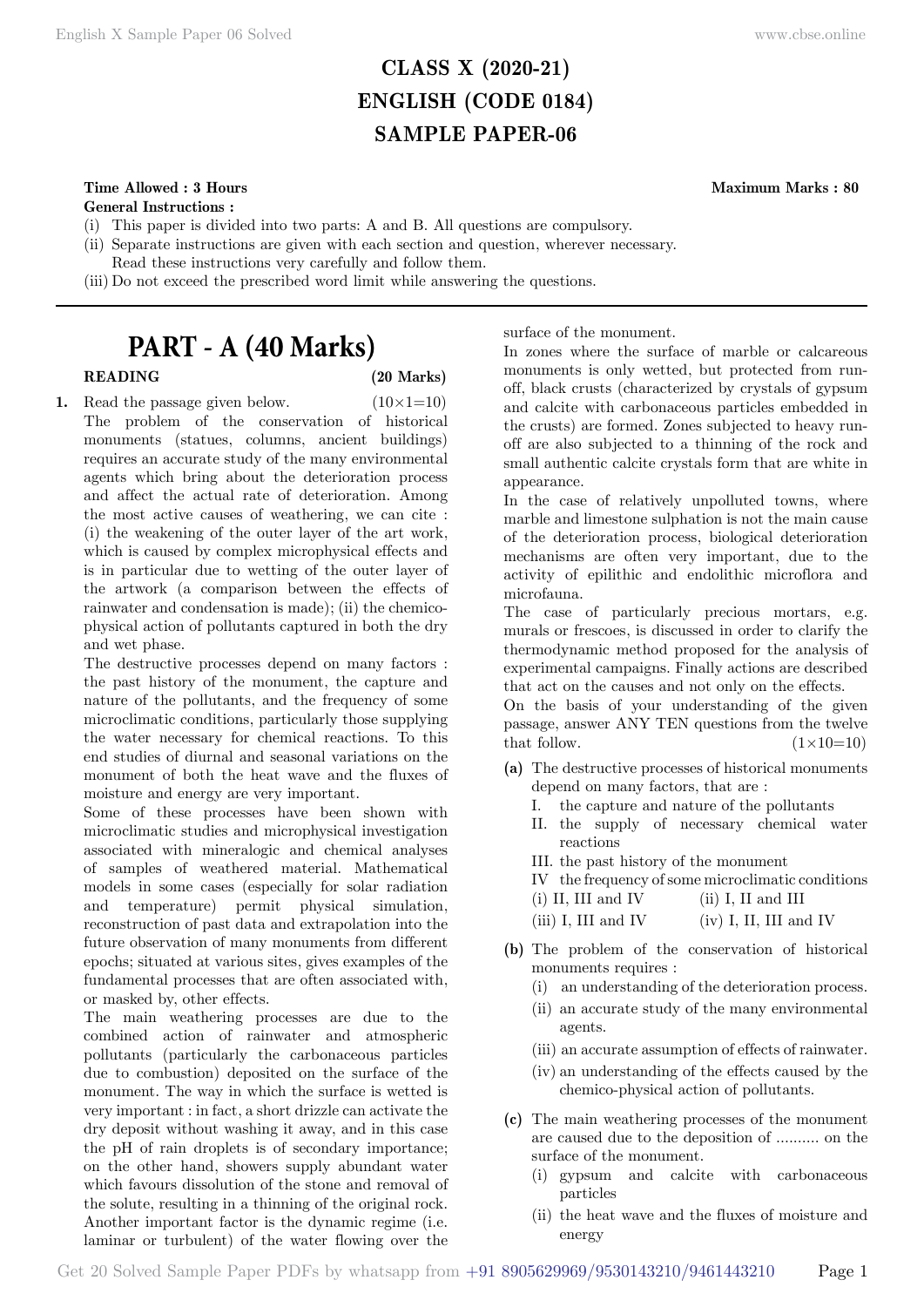# **CLASS X (2020-21) ENGLISH (CODE 0184) SAMPLE PAPER-06**

# **Time Allowed : 3 Hours Maximum Marks : 80**

**General Instructions :**

- (i) This paper is divided into two parts: A and B. All questions are compulsory.
- (ii) Separate instructions are given with each section and question, wherever necessary.
- Read these instructions very carefully and follow them.
- (iii) Do not exceed the prescribed word limit while answering the questions.

# **PART - A (40 Marks)**

# **READING (20 Marks)**

**1.** Read the passage given below.  $(10 \times 1=10)$ The problem of the conservation of historical monuments (statues, columns, ancient buildings) requires an accurate study of the many environmental agents which bring about the deterioration process and affect the actual rate of deterioration. Among the most active causes of weathering, we can cite : (i) the weakening of the outer layer of the art work, which is caused by complex microphysical effects and is in particular due to wetting of the outer layer of the artwork (a comparison between the effects of rainwater and condensation is made); (ii) the chemicophysical action of pollutants captured in both the dry and wet phase.

The destructive processes depend on many factors : the past history of the monument, the capture and nature of the pollutants, and the frequency of some microclimatic conditions, particularly those supplying the water necessary for chemical reactions. To this end studies of diurnal and seasonal variations on the monument of both the heat wave and the fluxes of moisture and energy are very important.

Some of these processes have been shown with microclimatic studies and microphysical investigation associated with mineralogic and chemical analyses of samples of weathered material. Mathematical models in some cases (especially for solar radiation and temperature) permit physical simulation, reconstruction of past data and extrapolation into the future observation of many monuments from different epochs; situated at various sites, gives examples of the fundamental processes that are often associated with, or masked by, other effects.

The main weathering processes are due to the combined action of rainwater and atmospheric pollutants (particularly the carbonaceous particles due to combustion) deposited on the surface of the monument. The way in which the surface is wetted is very important : in fact, a short drizzle can activate the dry deposit without washing it away, and in this case the pH of rain droplets is of secondary importance; on the other hand, showers supply abundant water which favours dissolution of the stone and removal of the solute, resulting in a thinning of the original rock. Another important factor is the dynamic regime (i.e. laminar or turbulent) of the water flowing over the

In zones where the surface of marble or calcareous monuments is only wetted, but protected from runoff, black crusts (characterized by crystals of gypsum and calcite with carbonaceous particles embedded in the crusts) are formed. Zones subjected to heavy runoff are also subjected to a thinning of the rock and small authentic calcite crystals form that are white in appearance.

surface of the monument.

In the case of relatively unpolluted towns, where marble and limestone sulphation is not the main cause of the deterioration process, biological deterioration mechanisms are often very important, due to the activity of epilithic and endolithic microflora and microfauna.

The case of particularly precious mortars, e.g. murals or frescoes, is discussed in order to clarify the thermodynamic method proposed for the analysis of experimental campaigns. Finally actions are described that act on the causes and not only on the effects.

On the basis of your understanding of the given passage, answer ANY TEN questions from the twelve that follow.  $(1\times10=10)$ 

- **(a)** The destructive processes of historical monuments depend on many factors, that are :
	- I. the capture and nature of the pollutants
	- II. the supply of necessary chemical water reactions
	- III. the past history of the monument

IV the frequency of some microclimatic conditions

- (i) II, III and IV (ii) I, II and III (iii) I, III and IV (iv) I, II, III and IV
- **(b)** The problem of the conservation of historical monuments requires :
	- (i) an understanding of the deterioration process.
	- (ii) an accurate study of the many environmental agents.
	- (iii) an accurate assumption of effects of rainwater.
	- (iv) an understanding of the effects caused by the chemico-physical action of pollutants.
- **(c)** The main weathering processes of the monument are caused due to the deposition of .......... on the surface of the monument.
	- (i) gypsum and calcite with carbonaceous particles
	- (ii) the heat wave and the fluxes of moisture and energy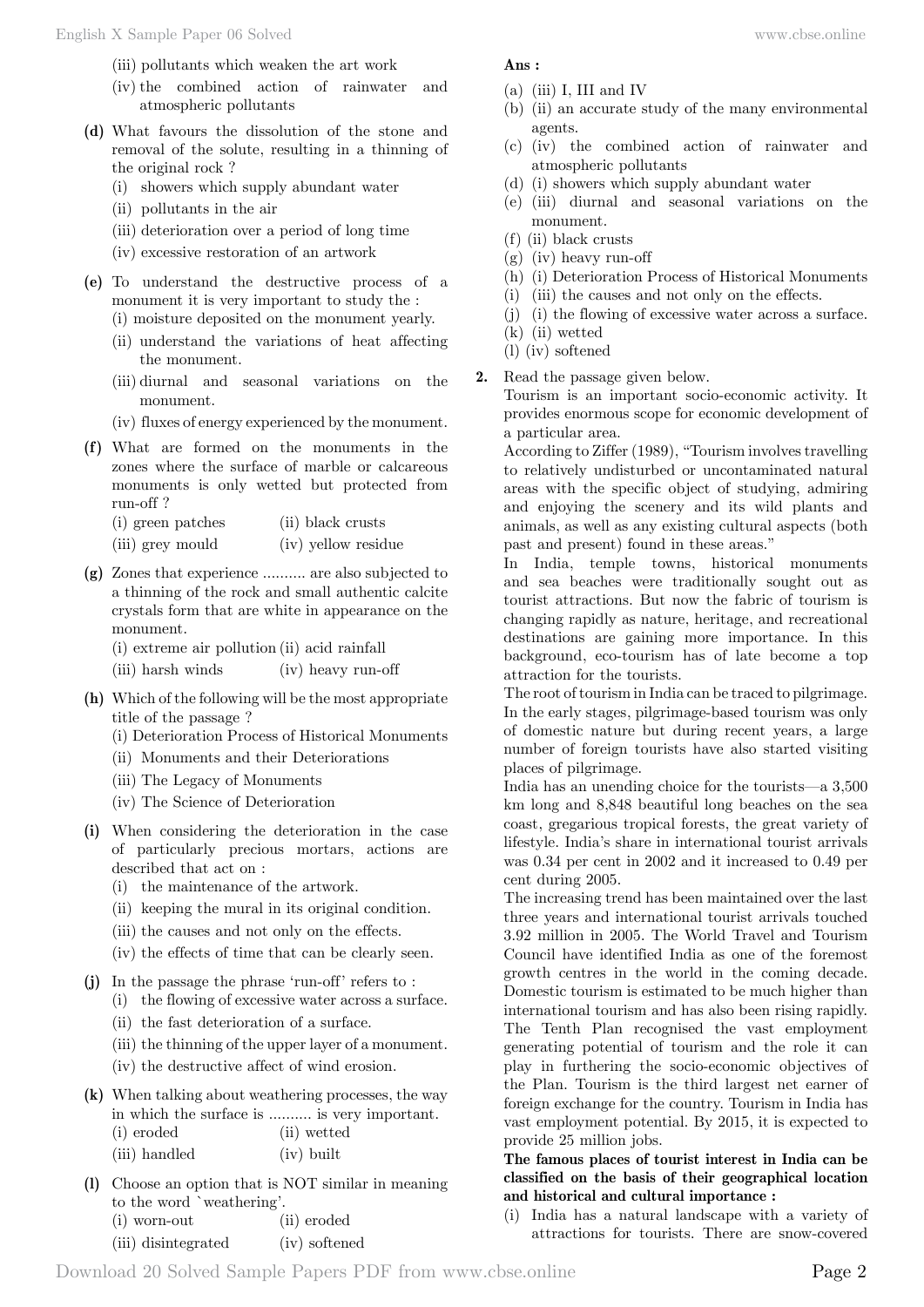(iii) pollutants which weaken the art work

- (iv) the combined action of rainwater and atmospheric pollutants
- **(d)** What favours the dissolution of the stone and removal of the solute, resulting in a thinning of the original rock ?
	- (i) showers which supply abundant water
	- (ii) pollutants in the air
	- (iii) deterioration over a period of long time
	- (iv) excessive restoration of an artwork
- **(e)** To understand the destructive process of a monument it is very important to study the :

(i) moisture deposited on the monument yearly.

- (ii) understand the variations of heat affecting the monument.
- (iii) diurnal and seasonal variations on the monument.
- (iv) fluxes of energy experienced by the monument.
- **(f)** What are formed on the monuments in the zones where the surface of marble or calcareous monuments is only wetted but protected from run-off ?

| (i) green patches | (ii) black crusts |
|-------------------|-------------------|
|-------------------|-------------------|

- (iii) grey mould (iv) yellow residue
- **(g)** Zones that experience .......... are also subjected to a thinning of the rock and small authentic calcite crystals form that are white in appearance on the monument.

(i) extreme air pollution (ii) acid rainfall

(iii) harsh winds (iv) heavy run-off

- **(h)** Which of the following will be the most appropriate title of the passage ?
	- (i) Deterioration Process of Historical Monuments
	- (ii) Monuments and their Deteriorations
	- (iii) The Legacy of Monuments
	- (iv) The Science of Deterioration
- **(i)** When considering the deterioration in the case of particularly precious mortars, actions are described that act on :
	- (i) the maintenance of the artwork.
	- (ii) keeping the mural in its original condition.
	- (iii) the causes and not only on the effects.
	- (iv) the effects of time that can be clearly seen.
- **(j)** In the passage the phrase 'run-off' refers to :
	- (i) the flowing of excessive water across a surface.
		- (ii) the fast deterioration of a surface.
		- (iii) the thinning of the upper layer of a monument.
		- (iv) the destructive affect of wind erosion.
- **(k)** When talking about weathering processes, the way in which the surface is .......... is very important. (i) eroded (ii) wetted (iii) handled (iv) built
- **(l)** Choose an option that is NOT similar in meaning to the word `weathering'.
	- (i) worn-out (ii) eroded (iii) disintegrated (iv) softened
- **Ans :**
- $(a)$  (iii) I, III and IV
- (b) (ii) an accurate study of the many environmental agents.
- (c) (iv) the combined action of rainwater and atmospheric pollutants
- (d) (i) showers which supply abundant water
- (e) (iii) diurnal and seasonal variations on the monument.
- (f) (ii) black crusts
- (g) (iv) heavy run-off
- (h) (i) Deterioration Process of Historical Monuments
- (i) (iii) the causes and not only on the effects.
- (j) (i) the flowing of excessive water across a surface.
- (k) (ii) wetted
- (l) (iv) softened
- **2.** Read the passage given below.

Tourism is an important socio-economic activity. It provides enormous scope for economic development of a particular area.

According to Ziffer (1989), "Tourism involves travelling to relatively undisturbed or uncontaminated natural areas with the specific object of studying, admiring and enjoying the scenery and its wild plants and animals, as well as any existing cultural aspects (both past and present) found in these areas."

In India, temple towns, historical monuments and sea beaches were traditionally sought out as tourist attractions. But now the fabric of tourism is changing rapidly as nature, heritage, and recreational destinations are gaining more importance. In this background, eco-tourism has of late become a top attraction for the tourists.

The root of tourism in India can be traced to pilgrimage. In the early stages, pilgrimage-based tourism was only of domestic nature but during recent years, a large number of foreign tourists have also started visiting places of pilgrimage.

India has an unending choice for the tourists—a 3,500 km long and 8,848 beautiful long beaches on the sea coast, gregarious tropical forests, the great variety of lifestyle. India's share in international tourist arrivals was 0.34 per cent in 2002 and it increased to 0.49 per cent during 2005.

The increasing trend has been maintained over the last three years and international tourist arrivals touched 3.92 million in 2005. The World Travel and Tourism Council have identified India as one of the foremost growth centres in the world in the coming decade. Domestic tourism is estimated to be much higher than international tourism and has also been rising rapidly. The Tenth Plan recognised the vast employment generating potential of tourism and the role it can play in furthering the socio-economic objectives of the Plan. Tourism is the third largest net earner of foreign exchange for the country. Tourism in India has vast employment potential. By 2015, it is expected to provide 25 million jobs.

# **The famous places of tourist interest in India can be classified on the basis of their geographical location and historical and cultural importance :**

(i) India has a natural landscape with a variety of attractions for tourists. There are snow-covered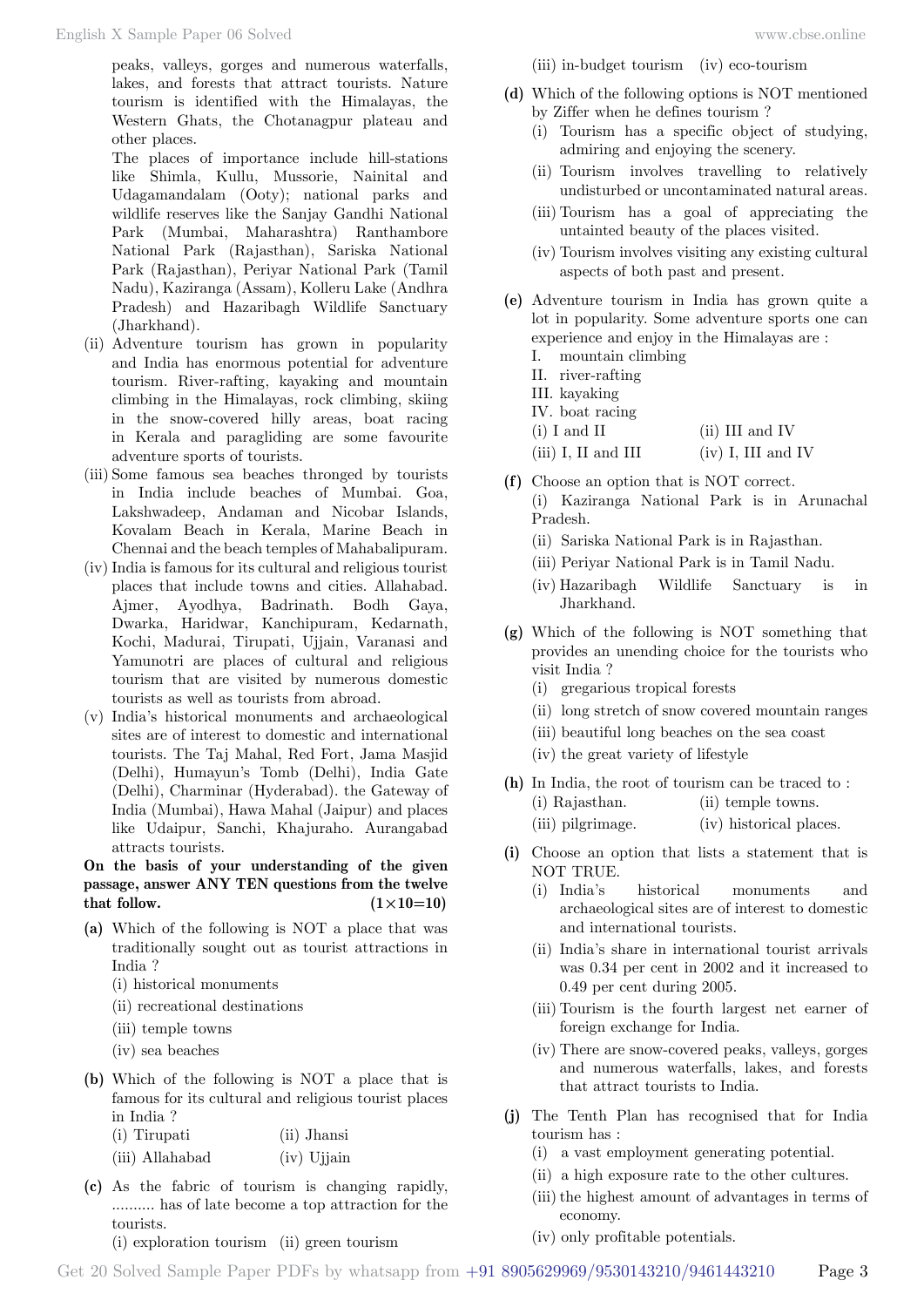peaks, valleys, gorges and numerous waterfalls, lakes, and forests that attract tourists. Nature tourism is identified with the Himalayas, the Western Ghats, the Chotanagpur plateau and other places.

The places of importance include hill-stations like Shimla, Kullu, Mussorie, Nainital and Udagamandalam (Ooty); national parks and wildlife reserves like the Sanjay Gandhi National Park (Mumbai, Maharashtra) Ranthambore National Park (Rajasthan), Sariska National Park (Rajasthan), Periyar National Park (Tamil Nadu), Kaziranga (Assam), Kolleru Lake (Andhra Pradesh) and Hazaribagh Wildlife Sanctuary (Jharkhand).

- (ii) Adventure tourism has grown in popularity and India has enormous potential for adventure tourism. River-rafting, kayaking and mountain climbing in the Himalayas, rock climbing, skiing in the snow-covered hilly areas, boat racing in Kerala and paragliding are some favourite adventure sports of tourists.
- (iii) Some famous sea beaches thronged by tourists in India include beaches of Mumbai. Goa, Lakshwadeep, Andaman and Nicobar Islands, Kovalam Beach in Kerala, Marine Beach in Chennai and the beach temples of Mahabalipuram.
- (iv) India is famous for its cultural and religious tourist places that include towns and cities. Allahabad. Ajmer, Ayodhya, Badrinath. Bodh Gaya, Dwarka, Haridwar, Kanchipuram, Kedarnath, Kochi, Madurai, Tirupati, Ujjain, Varanasi and Yamunotri are places of cultural and religious tourism that are visited by numerous domestic tourists as well as tourists from abroad.
- (v) India's historical monuments and archaeological sites are of interest to domestic and international tourists. The Taj Mahal, Red Fort, Jama Masjid (Delhi), Humayun's Tomb (Delhi), India Gate (Delhi), Charminar (Hyderabad). the Gateway of India (Mumbai), Hawa Mahal (Jaipur) and places like Udaipur, Sanchi, Khajuraho. Aurangabad attracts tourists.

# **On the basis of your understanding of the given passage, answer ANY TEN questions from the twelve**  that follow.  $(1 \times 10=10)$

- **(a)** Which of the following is NOT a place that was traditionally sought out as tourist attractions in India ?
	- (i) historical monuments
	- (ii) recreational destinations
	- (iii) temple towns
	- (iv) sea beaches
- **(b)** Which of the following is NOT a place that is famous for its cultural and religious tourist places in India ?

| (i) Tirupati |  | (ii) Jhansi |
|--------------|--|-------------|
|              |  | ____        |

- (iii) Allahabad (iv) Ujjain
- **(c)** As the fabric of tourism is changing rapidly, .......... has of late become a top attraction for the tourists. (i) exploration tourism (ii) green tourism
- 
- (iii) in-budget tourism (iv) eco-tourism
- **(d)** Which of the following options is NOT mentioned by Ziffer when he defines tourism ?
	- (i) Tourism has a specific object of studying, admiring and enjoying the scenery.
	- (ii) Tourism involves travelling to relatively undisturbed or uncontaminated natural areas.
	- (iii) Tourism has a goal of appreciating the untainted beauty of the places visited.
	- (iv) Tourism involves visiting any existing cultural aspects of both past and present.
- **(e)** Adventure tourism in India has grown quite a lot in popularity. Some adventure sports one can experience and enjoy in the Himalayas are :
	- I. mountain climbing
	- II. river-rafting
	- III. kayaking
	- IV. boat racing
	- (i) I and II (ii) III and IV

 $(iii)$  I, II and III  $(iv)$  I, III and IV

- **(f)** Choose an option that is NOT correct. (i) Kaziranga National Park is in Arunachal Pradesh.
	- (ii) Sariska National Park is in Rajasthan.
	- (iii) Periyar National Park is in Tamil Nadu.
	- (iv) Hazaribagh Wildlife Sanctuary is in Jharkhand.
- **(g)** Which of the following is NOT something that provides an unending choice for the tourists who visit India ?
	- (i) gregarious tropical forests
	- (ii) long stretch of snow covered mountain ranges
	- (iii) beautiful long beaches on the sea coast
	- (iv) the great variety of lifestyle
- **(h)** In India, the root of tourism can be traced to : (i) Rajasthan. (ii) temple towns.
	- (iii) pilgrimage. (iv) historical places.
- **(i)** Choose an option that lists a statement that is NOT TRUE.
	- (i) India's historical monuments and archaeological sites are of interest to domestic and international tourists.
	- (ii) India's share in international tourist arrivals was 0.34 per cent in 2002 and it increased to 0.49 per cent during 2005.
	- (iii) Tourism is the fourth largest net earner of foreign exchange for India.
	- (iv) There are snow-covered peaks, valleys, gorges and numerous waterfalls, lakes, and forests that attract tourists to India.
- **(j)** The Tenth Plan has recognised that for India tourism has :
	- (i) a vast employment generating potential.
	- (ii) a high exposure rate to the other cultures.
	- (iii) the highest amount of advantages in terms of economy.
	- (iv) only profitable potentials.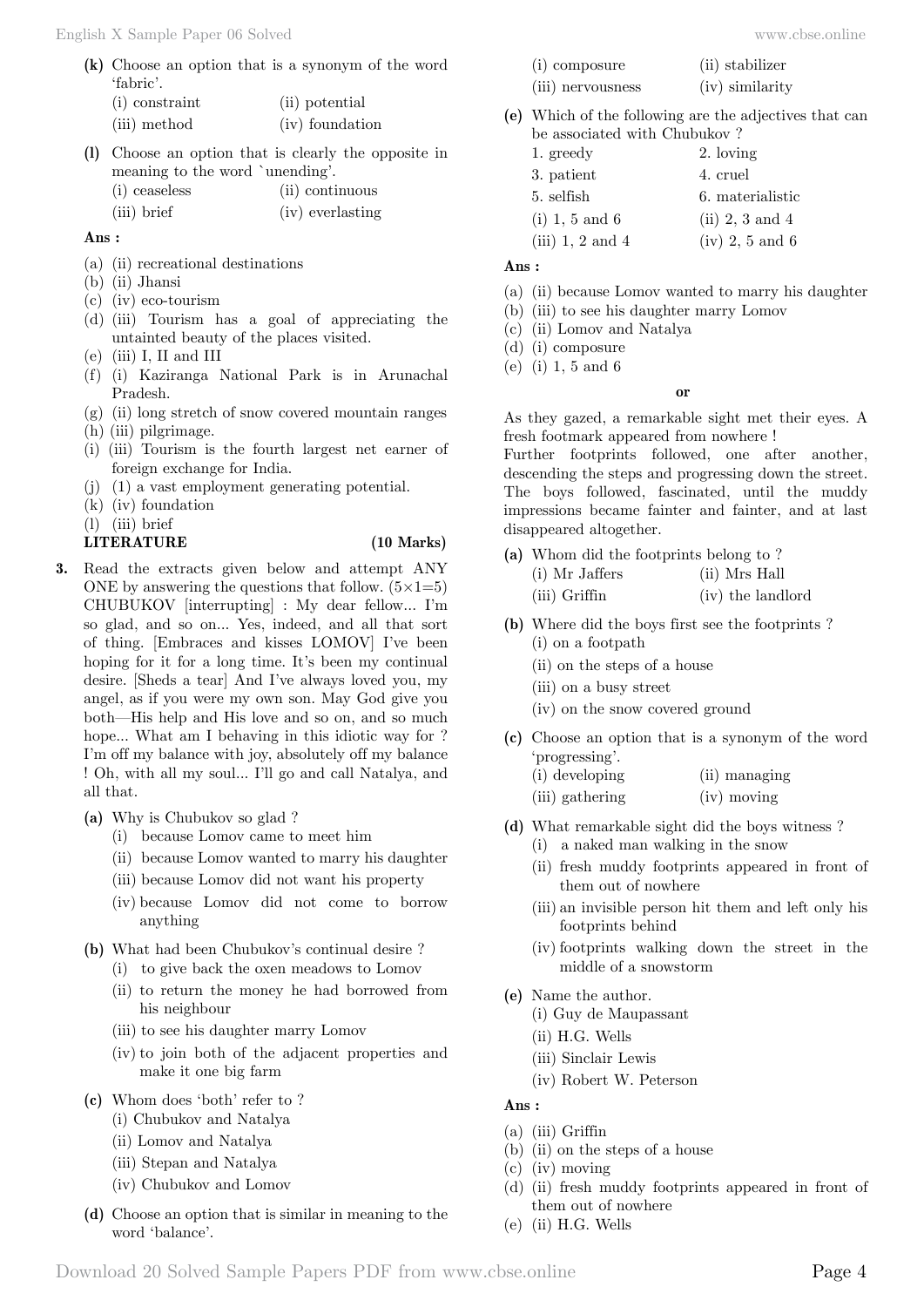**(k)** Choose an option that is a synonym of the word 'fabric'.

| (i) constraint | (ii) potential  |
|----------------|-----------------|
| (iii) method   | (iv) foundation |

**(l)** Choose an option that is clearly the opposite in meaning to the word `unending'.

| (i) ceaseless | (ii) continuous  |
|---------------|------------------|
| (iii) brief   | (iv) everlasting |

#### **Ans :**

- (a) (ii) recreational destinations
- (b) (ii) Jhansi
- (c) (iv) eco-tourism
- (d) (iii) Tourism has a goal of appreciating the untainted beauty of the places visited.
- (e) (iii) I, II and III
- (f) (i) Kaziranga National Park is in Arunachal Pradesh.
- (g) (ii) long stretch of snow covered mountain ranges
- (h) (iii) pilgrimage.
- (i) (iii) Tourism is the fourth largest net earner of foreign exchange for India.
- (j) (1) a vast employment generating potential.
- (k) (iv) foundation
- (l) (iii) brief

# **LITERATURE (10 Marks)**

- **3.** Read the extracts given below and attempt ANY ONE by answering the questions that follow.  $(5 \times 1=5)$ CHUBUKOV [interrupting] : My dear fellow... I'm so glad, and so on... Yes, indeed, and all that sort of thing. [Embraces and kisses LOMOV] I've been hoping for it for a long time. It's been my continual desire. [Sheds a tear] And I've always loved you, my angel, as if you were my own son. May God give you both—His help and His love and so on, and so much hope... What am I behaving in this idiotic way for ? I'm off my balance with joy, absolutely off my balance ! Oh, with all my soul... I'll go and call Natalya, and all that.
	- **(a)** Why is Chubukov so glad ?
		- (i) because Lomov came to meet him
		- (ii) because Lomov wanted to marry his daughter
		- (iii) because Lomov did not want his property
		- (iv) because Lomov did not come to borrow anything
	- **(b)** What had been Chubukov's continual desire ?
		- (i) to give back the oxen meadows to Lomov
		- (ii) to return the money he had borrowed from his neighbour
		- (iii) to see his daughter marry Lomov
		- (iv) to join both of the adjacent properties and make it one big farm
	- **(c)** Whom does 'both' refer to ?
		- (i) Chubukov and Natalya
		- (ii) Lomov and Natalya
		- (iii) Stepan and Natalya
		- (iv) Chubukov and Lomov
	- **(d)** Choose an option that is similar in meaning to the word 'balance'.

| osure | (ii) stabilizer |
|-------|-----------------|
|       |                 |

- $(i)$  comp (iii) nervousness (iv) similarity
- **(e)** Which of the following are the adjectives that can be associated with Chubukov ?
	- 1. greedy 2. loving 3. patient 4. cruel 5. selfish 6. materialistic (i) 1, 5 and 6 (ii) 2, 3 and 4 (iii) 1, 2 and 4 (iv) 2, 5 and 6

#### **Ans :**

- (a) (ii) because Lomov wanted to marry his daughter
- (b) (iii) to see his daughter marry Lomov
- (c) (ii) Lomov and Natalya
- (d) (i) composure
- (e) (i) 1, 5 and 6

#### **o**

As they gazed, a remarkable sight met their eyes. A fresh footmark appeared from nowhere !

Further footprints followed, one after another, descending the steps and progressing down the street. The boys followed, fascinated, until the muddy impressions became fainter and fainter, and at last disappeared altogether.

- **(a)** Whom did the footprints belong to ?
	- (i) Mr Jaffers (ii) Mrs Hall
	- (iii) Griffin (iv) the landlord
- **(b)** Where did the boys first see the footprints ? (i) on a footpath
	- (ii) on the steps of a house
	- (iii) on a busy street
	- (iv) on the snow covered ground
- **(c)** Choose an option that is a synonym of the word 'progressing'.
	- (i) developing (ii) managing
	- (iii) gathering (iv) moving
- **(d)** What remarkable sight did the boys witness ?
	- (i) a naked man walking in the snow
	- (ii) fresh muddy footprints appeared in front of them out of nowhere
	- (iii) an invisible person hit them and left only his footprints behind
	- (iv) footprints walking down the street in the middle of a snowstorm
- **(e)** Name the author.
	- (i) Guy de Maupassant
	- (ii) H.G. Wells
	- (iii) Sinclair Lewis
	- (iv) Robert W. Peterson

#### **Ans :**

- (a) (iii) Griffin
- (b) (ii) on the steps of a house
- (c) (iv) moving
- (d) (ii) fresh muddy footprints appeared in front of them out of nowhere
- (e) (ii) H.G. Wells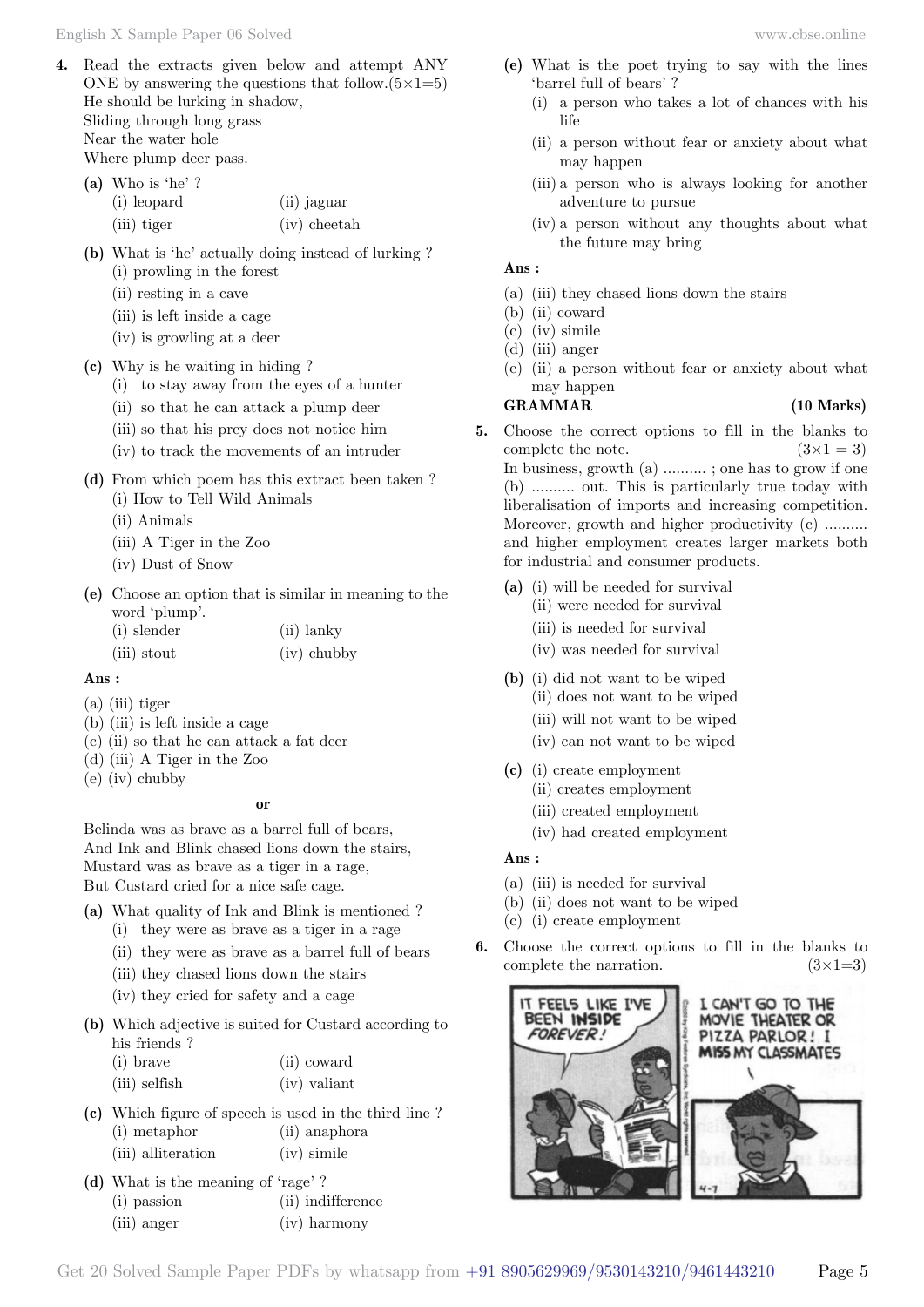**4.** Read the extracts given below and attempt ANY ONE by answering the questions that follow. $(5 \times 1=5)$ He should be lurking in shadow, Sliding through long grass Near the water hole

Where plump deer pass. **(a)** Who is 'he' ?

| а) wновне:  |                |
|-------------|----------------|
| (i) leopard | (ii) jaguar    |
| (iii) tiger | $(iv)$ cheetah |

- **(b)** What is 'he' actually doing instead of lurking ? (i) prowling in the forest
	- (ii) resting in a cave
	- (iii) is left inside a cage
	- (iv) is growling at a deer
- **(c)** Why is he waiting in hiding ?
	- (i) to stay away from the eyes of a hunter
	- (ii) so that he can attack a plump deer
	- (iii) so that his prey does not notice him
	- (iv) to track the movements of an intruder
- **(d)** From which poem has this extract been taken ? (i) How to Tell Wild Animals

(ii) Animals

- (iii) A Tiger in the Zoo
- (iv) Dust of Snow
- **(e)** Choose an option that is similar in meaning to the word 'plump'.

(i) slender (ii) lanky (iii) stout (iv) chubby

#### **Ans :**

- (a) (iii) tiger
- (b) (iii) is left inside a cage
- (c) (ii) so that he can attack a fat deer
- (d) (iii) A Tiger in the Zoo
- (e) (iv) chubby

 **o**

Belinda was as brave as a barrel full of bears, And Ink and Blink chased lions down the stairs, Mustard was as brave as a tiger in a rage, But Custard cried for a nice safe cage.

- **(a)** What quality of Ink and Blink is mentioned ?
	- (i) they were as brave as a tiger in a rage
	- (ii) they were as brave as a barrel full of bears
	- (iii) they chased lions down the stairs
	- (iv) they cried for safety and a cage
- **(b)** Which adjective is suited for Custard according to his friends ?
	- (i) brave (ii) coward
	- (iii) selfish (iv) valiant
- **(c)** Which figure of speech is used in the third line ? (i) metaphor (ii) anaphora (iii) alliteration (iv) simile
- **(d)** What is the meaning of 'rage' ?
	- (i) passion (ii) indifference (iii) anger (iv) harmony
- **(e)** What is the poet trying to say with the lines 'barrel full of bears' ?
	- (i) a person who takes a lot of chances with his life
	- (ii) a person without fear or anxiety about what may happen
	- (iii) a person who is always looking for another adventure to pursue
	- (iv) a person without any thoughts about what the future may bring

#### **Ans :**

- (a) (iii) they chased lions down the stairs
- (b) (ii) coward
- (c) (iv) simile
- (d) (iii) anger
- (e) (ii) a person without fear or anxiety about what may happen

# **GRAMMAR (10 Marks)**

- **5.** Choose the correct options to fill in the blanks to complete the note.  $(3\times1=3)$ In business, growth (a) .......... ; one has to grow if one (b) .......... out. This is particularly true today with liberalisation of imports and increasing competition. Moreover, growth and higher productivity (c) ......... and higher employment creates larger markets both for industrial and consumer products.
	- **(a)** (i) will be needed for survival
		- (ii) were needed for survival
		- (iii) is needed for survival
		- (iv) was needed for survival
	- **(b)** (i) did not want to be wiped (ii) does not want to be wiped
		- (iii) will not want to be wiped
		- (iv) can not want to be wiped
	- **(c)** (i) create employment
		- (ii) creates employment
		- (iii) created employment
		- (iv) had created employment

# **Ans :**

- (a) (iii) is needed for survival
- (b) (ii) does not want to be wiped
- (c) (i) create employment
- **6.** Choose the correct options to fill in the blanks to complete the narration.  $(3\times1=3)$

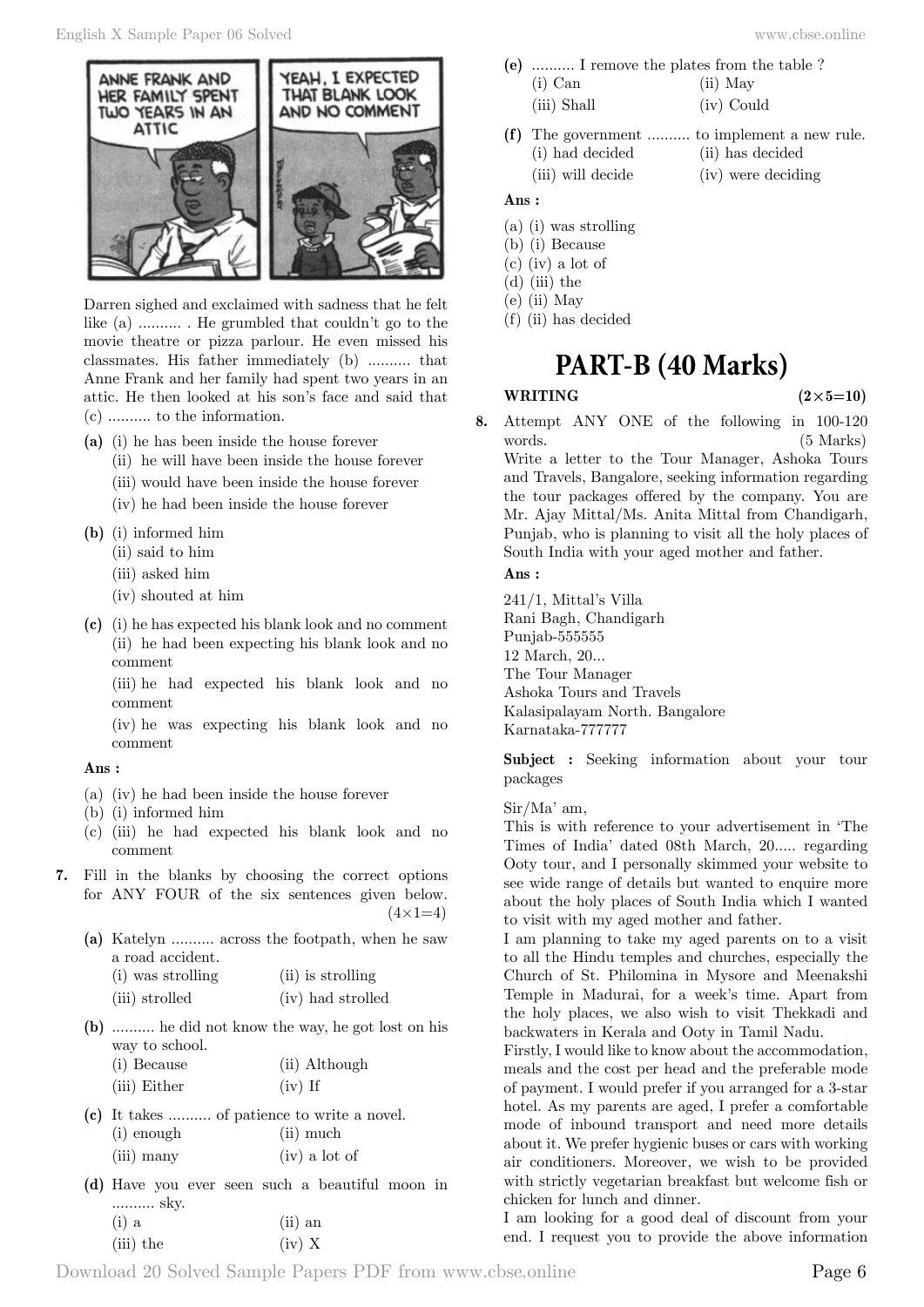

Darren sighed and exclaimed with sadness that he felt like (a) .......... . He grumbled that couldn't go to the movie theatre or pizza parlour. He even missed his classmates. His father immediately (b) .......... that Anne Frank and her family had spent two years in an attic. He then looked at his son's face and said that (c) .......... to the information.

- **(a)** (i) he has been inside the house forever
	- (ii) he will have been inside the house forever
	- (iii) would have been inside the house forever
	- (iv) he had been inside the house forever
- **(b)** (i) informed him
	- (ii) said to him
	- (iii) asked him
	- (iv) shouted at him
- **(c)** (i) he has expected his blank look and no comment (ii) he had been expecting his blank look and no comment

(iii) he had expected his blank look and no comment

(iv) he was expecting his blank look and no comment

### **Ans :**

- (a) (iv) he had been inside the house forever
- (b) (i) informed him
- (c) (iii) he had expected his blank look and no comment
- **7.** Fill in the blanks by choosing the correct options for ANY FOUR of the six sentences given below.  $(4 \times 1=4)$ 
	- **(a)** Katelyn .......... across the footpath, when he saw a road accident.

| (i) was strolling | (ii) is strolling |
|-------------------|-------------------|
| (iii) strolled    | (iv) had strolled |

- **(b)** .......... he did not know the way, he got lost on his way to school.
	- (i) Because (ii) Although (iii) Either (iv) If
- **(c)** It takes .......... of patience to write a novel. (i) enough (ii) much (iii) many (iv) a lot of
- **(d)** Have you ever seen such a beautiful moon in .......... sky.  $(i)$  a  $(iii)$  and

| $\sqrt{-1}$ |           | $\sqrt{-1}$ |  |
|-------------|-----------|-------------|--|
|             | (iii) the | $(iv)$ X    |  |

- **(e)** .......... I remove the plates from the table ? (i) Can (ii) May
	- (iii) Shall (iv) Could
- **(f)** The government .......... to implement a new rule. (i) had decided (ii) has decided
	- (iii) will decide (iv) were deciding

# **Ans :**

- (a) (i) was strolling
- (b) (i) Because
- (c) (iv) a lot of
- (d) (iii) the
- (e) (ii) May
- (f) (ii) has decided

# **PART-B (40 Marks)**

#### **WRITING**  $(2 \times 5=10)$

**8.** Attempt ANY ONE of the following in 100-120 words. (5 Marks) Write a letter to the Tour Manager, Ashoka Tours and Travels, Bangalore, seeking information regarding the tour packages offered by the company. You are Mr. Ajay Mittal/Ms. Anita Mittal from Chandigarh, Punjab, who is planning to visit all the holy places of South India with your aged mother and father.

# **Ans :**

241/1, Mittal's Villa Rani Bagh, Chandigarh Punjab-555555 12 March, 20... The Tour Manager Ashoka Tours and Travels Kalasipalayam North. Bangalore Karnataka-777777

**Subject :** Seeking information about your tour packages

Sir/Ma' am,

This is with reference to your advertisement in 'The Times of India' dated 08th March, 20..... regarding Ooty tour, and I personally skimmed your website to see wide range of details but wanted to enquire more about the holy places of South India which I wanted to visit with my aged mother and father.

I am planning to take my aged parents on to a visit to all the Hindu temples and churches, especially the Church of St. Philomina in Mysore and Meenakshi Temple in Madurai, for a week's time. Apart from the holy places, we also wish to visit Thekkadi and backwaters in Kerala and Ooty in Tamil Nadu.

Firstly, I would like to know about the accommodation, meals and the cost per head and the preferable mode of payment. I would prefer if you arranged for a 3-star hotel. As my parents are aged, I prefer a comfortable mode of inbound transport and need more details about it. We prefer hygienic buses or cars with working air conditioners. Moreover, we wish to be provided with strictly vegetarian breakfast but welcome fish or chicken for lunch and dinner.

I am looking for a good deal of discount from your end. I request you to provide the above information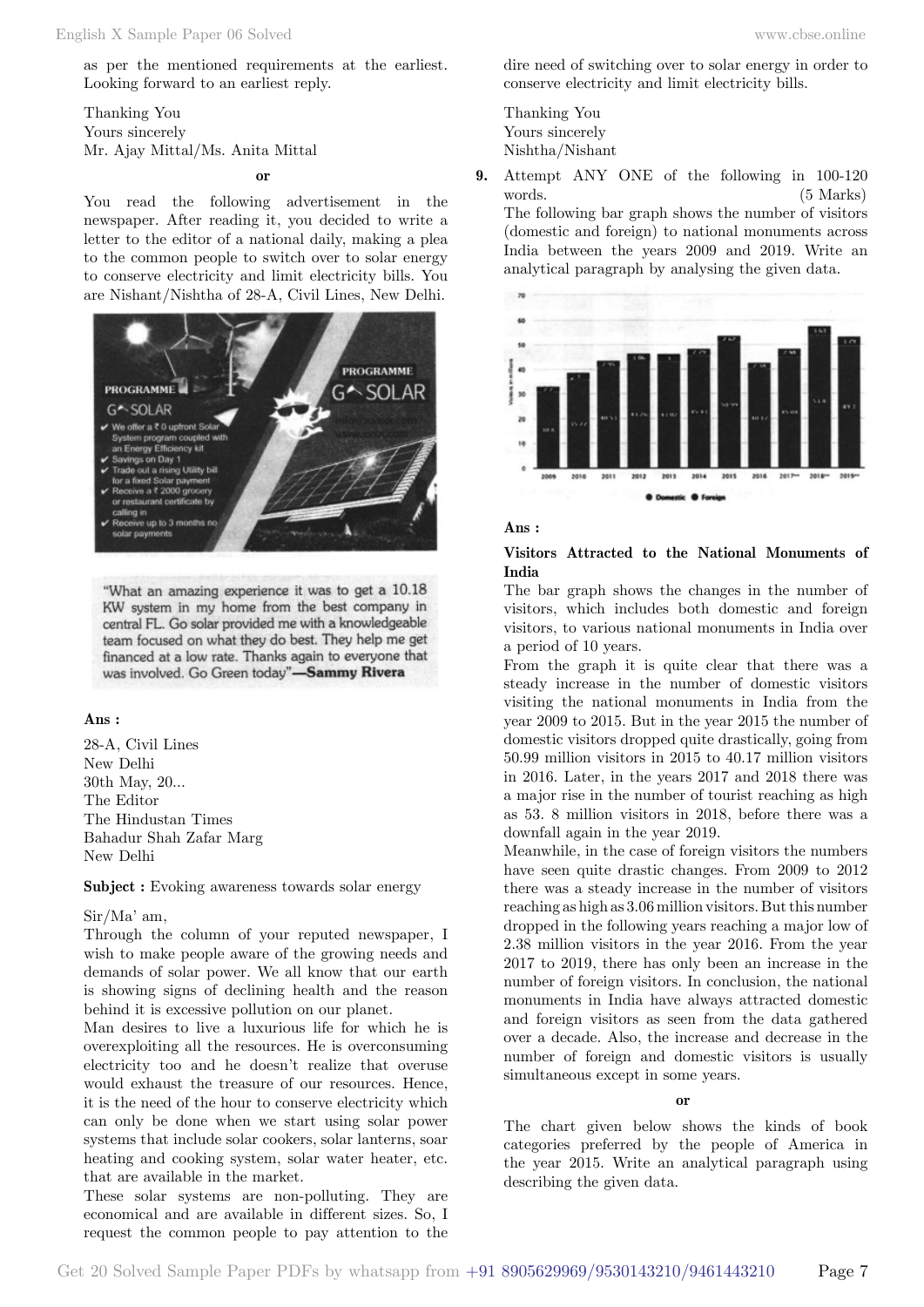as per the mentioned requirements at the earliest. Looking forward to an earliest reply.

Thanking You Yours sincerely Mr. Ajay Mittal/Ms. Anita Mittal

 **o**

You read the following advertisement in the newspaper. After reading it, you decided to write a letter to the editor of a national daily, making a plea to the common people to switch over to solar energy to conserve electricity and limit electricity bills. You are Nishant/Nishtha of 28-A, Civil Lines, New Delhi.



"What an amazing experience it was to get a 10.18 KW system in my home from the best company in central FL. Go solar provided me with a knowledgeable team focused on what they do best. They help me get financed at a low rate. Thanks again to everyone that was involved. Go Green today"-Sammy Rivera

#### **Ans :**

28-A, Civil Lines New Delhi 30th May, 20... The Editor The Hindustan Times Bahadur Shah Zafar Marg New Delhi

**Subject :** Evoking awareness towards solar energy

#### Sir/Ma' am,

Through the column of your reputed newspaper, I wish to make people aware of the growing needs and demands of solar power. We all know that our earth is showing signs of declining health and the reason behind it is excessive pollution on our planet.

Man desires to live a luxurious life for which he is overexploiting all the resources. He is overconsuming electricity too and he doesn't realize that overuse would exhaust the treasure of our resources. Hence, it is the need of the hour to conserve electricity which can only be done when we start using solar power systems that include solar cookers, solar lanterns, soar heating and cooking system, solar water heater, etc. that are available in the market.

These solar systems are non-polluting. They are economical and are available in different sizes. So, I request the common people to pay attention to the

dire need of switching over to solar energy in order to conserve electricity and limit electricity bills.

Thanking You Yours sincerely Nishtha/Nishant

**9.** Attempt ANY ONE of the following in 100-120 words. (5 Marks) The following bar graph shows the number of visitors (domestic and foreign) to national monuments across India between the years 2009 and 2019. Write an analytical paragraph by analysing the given data.



#### **Ans :**

# **Visitors Attracted to the National Monuments of India**

The bar graph shows the changes in the number of visitors, which includes both domestic and foreign visitors, to various national monuments in India over a period of 10 years.

From the graph it is quite clear that there was a steady increase in the number of domestic visitors visiting the national monuments in India from the year 2009 to 2015. But in the year 2015 the number of domestic visitors dropped quite drastically, going from 50.99 million visitors in 2015 to 40.17 million visitors in 2016. Later, in the years 2017 and 2018 there was a major rise in the number of tourist reaching as high as 53. 8 million visitors in 2018, before there was a downfall again in the year 2019.

Meanwhile, in the case of foreign visitors the numbers have seen quite drastic changes. From 2009 to 2012 there was a steady increase in the number of visitors reaching as high as 3.06 million visitors. But this number dropped in the following years reaching a major low of 2.38 million visitors in the year 2016. From the year 2017 to 2019, there has only been an increase in the number of foreign visitors. In conclusion, the national monuments in India have always attracted domestic and foreign visitors as seen from the data gathered over a decade. Also, the increase and decrease in the number of foreign and domestic visitors is usually simultaneous except in some years.

#### **o**

The chart given below shows the kinds of book categories preferred by the people of America in the year 2015. Write an analytical paragraph using describing the given data.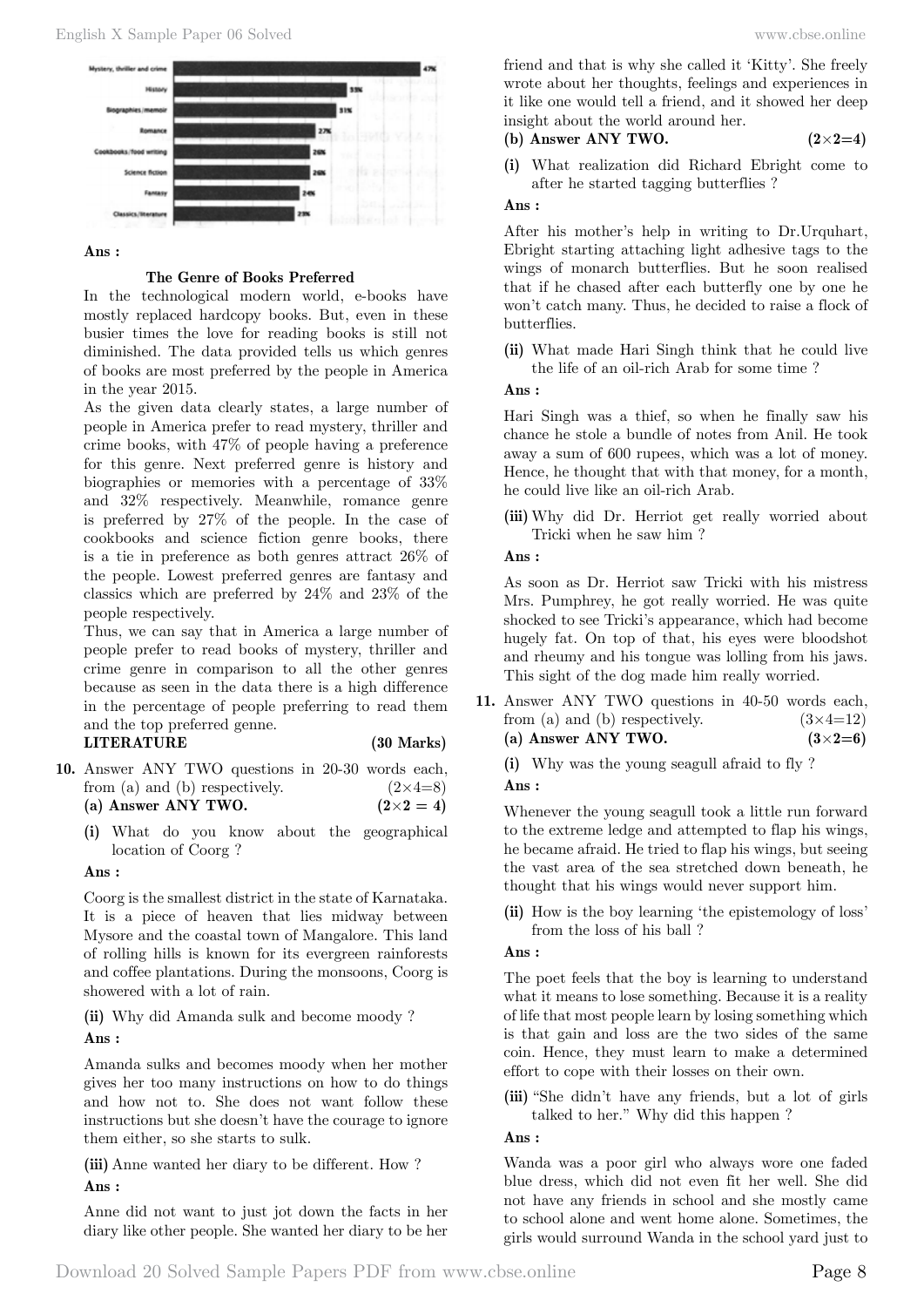

#### **Ans :**

# **The Genre of Books Preferred**

In the technological modern world, e-books have mostly replaced hardcopy books. But, even in these busier times the love for reading books is still not diminished. The data provided tells us which genres of books are most preferred by the people in America in the year 2015.

As the given data clearly states, a large number of people in America prefer to read mystery, thriller and crime books, with 47% of people having a preference for this genre. Next preferred genre is history and biographies or memories with a percentage of 33% and 32% respectively. Meanwhile, romance genre is preferred by 27% of the people. In the case of cookbooks and science fiction genre books, there is a tie in preference as both genres attract 26% of the people. Lowest preferred genres are fantasy and classics which are preferred by 24% and 23% of the people respectively.

Thus, we can say that in America a large number of people prefer to read books of mystery, thriller and crime genre in comparison to all the other genres because as seen in the data there is a high difference in the percentage of people preferring to read them and the top preferred genne.

### **LITERATURE (30 Marks)**

- **10.** Answer ANY TWO questions in 20-30 words each, from (a) and (b) respectively.  $(2\times4=8)$ (a) Answer ANY TWO.  $(2 \times 2 = 4)$ 
	- **(i)** What do you know about the geographical location of Coorg ?

# **Ans :**

Coorg is the smallest district in the state of Karnataka. It is a piece of heaven that lies midway between Mysore and the coastal town of Mangalore. This land of rolling hills is known for its evergreen rainforests and coffee plantations. During the monsoons, Coorg is showered with a lot of rain.

**(ii)** Why did Amanda sulk and become moody ?

# **Ans :**

Amanda sulks and becomes moody when her mother gives her too many instructions on how to do things and how not to. She does not want follow these instructions but she doesn't have the courage to ignore them either, so she starts to sulk.

**(iii)** Anne wanted her diary to be different. How ?

# **Ans :**

Anne did not want to just jot down the facts in her diary like other people. She wanted her diary to be her

friend and that is why she called it 'Kitty'. She freely wrote about her thoughts, feelings and experiences in it like one would tell a friend, and it showed her deep insight about the world around her.

# **(b) Answer ANY TWO. (2**×**2=4)**

**(i)** What realization did Richard Ebright come to after he started tagging butterflies ?

# **Ans :**

After his mother's help in writing to Dr.Urquhart, Ebright starting attaching light adhesive tags to the wings of monarch butterflies. But he soon realised that if he chased after each butterfly one by one he won't catch many. Thus, he decided to raise a flock of butterflies.

**(ii)** What made Hari Singh think that he could live the life of an oil-rich Arab for some time ?

# **Ans :**

Hari Singh was a thief, so when he finally saw his chance he stole a bundle of notes from Anil. He took away a sum of 600 rupees, which was a lot of money. Hence, he thought that with that money, for a month, he could live like an oil-rich Arab.

**(iii)** Why did Dr. Herriot get really worried about Tricki when he saw him ?

# **Ans :**

As soon as Dr. Herriot saw Tricki with his mistress Mrs. Pumphrey, he got really worried. He was quite shocked to see Tricki's appearance, which had become hugely fat. On top of that, his eyes were bloodshot and rheumy and his tongue was lolling from his jaws. This sight of the dog made him really worried.

**11.** Answer ANY TWO questions in 40-50 words each, from (a) and (b) respectively.  $(3 \times 4=12)$ **(a) Answer ANY TWO. (3**×**2=6)**

**(i)** Why was the young seagull afraid to fly ?  **Ans :**

Whenever the young seagull took a little run forward to the extreme ledge and attempted to flap his wings, he became afraid. He tried to flap his wings, but seeing the vast area of the sea stretched down beneath, he thought that his wings would never support him.

**(ii)** How is the boy learning 'the epistemology of loss' from the loss of his ball ?

# **Ans :**

The poet feels that the boy is learning to understand what it means to lose something. Because it is a reality of life that most people learn by losing something which is that gain and loss are the two sides of the same coin. Hence, they must learn to make a determined effort to cope with their losses on their own.

**(iii)** "She didn't have any friends, but a lot of girls talked to her." Why did this happen ?

# **Ans :**

Wanda was a poor girl who always wore one faded blue dress, which did not even fit her well. She did not have any friends in school and she mostly came to school alone and went home alone. Sometimes, the girls would surround Wanda in the school yard just to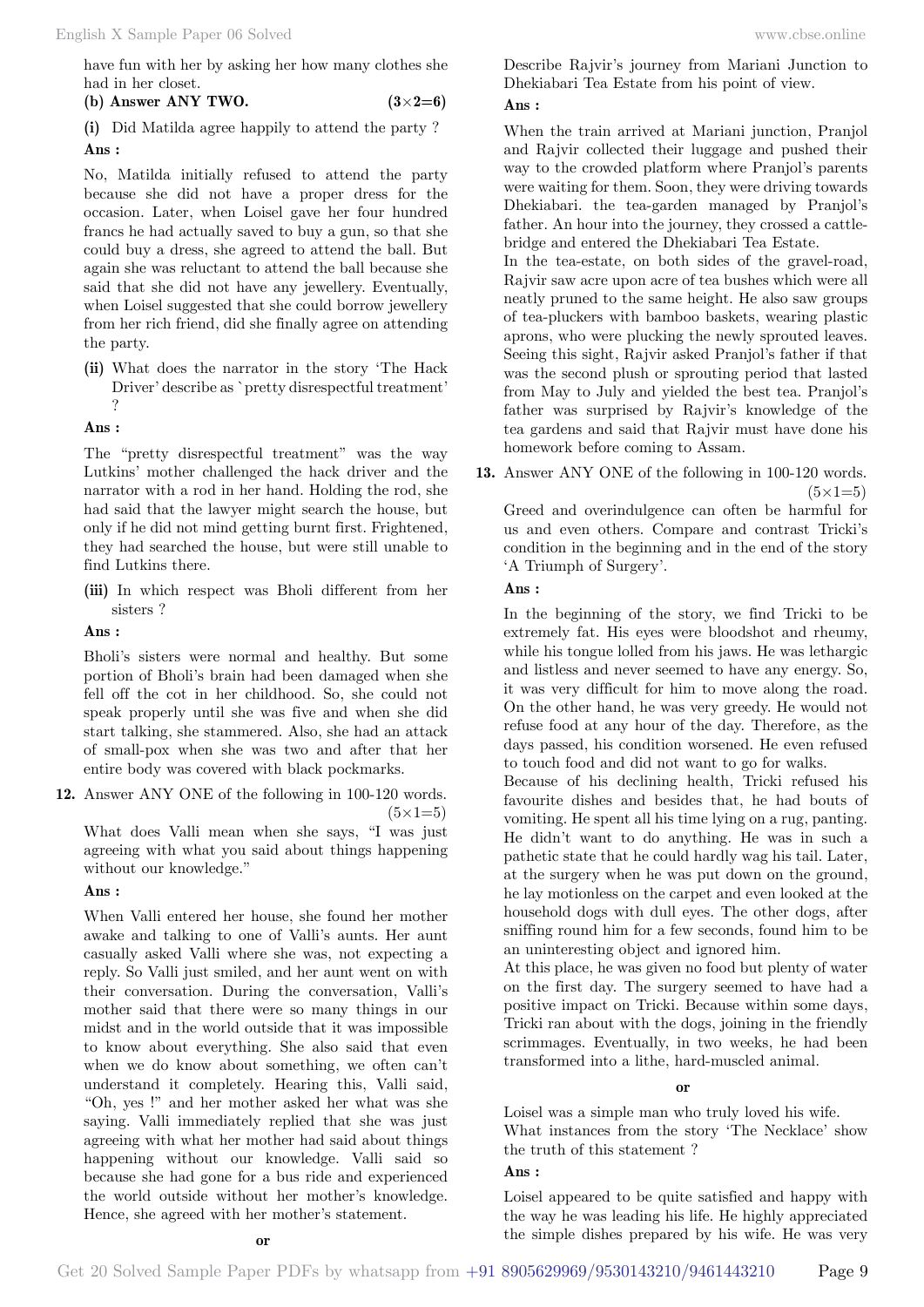**(i)** Did Matilda agree happily to attend the party ?  **Ans :**

No, Matilda initially refused to attend the party because she did not have a proper dress for the occasion. Later, when Loisel gave her four hundred francs he had actually saved to buy a gun, so that she could buy a dress, she agreed to attend the ball. But again she was reluctant to attend the ball because she said that she did not have any jewellery. Eventually, when Loisel suggested that she could borrow jewellery from her rich friend, did she finally agree on attending the party.

**(ii)** What does the narrator in the story 'The Hack Driver' describe as `pretty disrespectful treatment' ?

#### **Ans :**

The "pretty disrespectful treatment" was the way Lutkins' mother challenged the hack driver and the narrator with a rod in her hand. Holding the rod, she had said that the lawyer might search the house, but only if he did not mind getting burnt first. Frightened, they had searched the house, but were still unable to find Lutkins there.

**(iii)** In which respect was Bholi different from her sisters ?

 **Ans :**

Bholi's sisters were normal and healthy. But some portion of Bholi's brain had been damaged when she fell off the cot in her childhood. So, she could not speak properly until she was five and when she did start talking, she stammered. Also, she had an attack of small-pox when she was two and after that her entire body was covered with black pockmarks.

**12.** Answer ANY ONE of the following in 100-120 words.

 $(5 \times 1=5)$ 

What does Valli mean when she says, "I was just agreeing with what you said about things happening without our knowledge."

#### **Ans :**

When Valli entered her house, she found her mother awake and talking to one of Valli's aunts. Her aunt casually asked Valli where she was, not expecting a reply. So Valli just smiled, and her aunt went on with their conversation. During the conversation, Valli's mother said that there were so many things in our midst and in the world outside that it was impossible to know about everything. She also said that even when we do know about something, we often can't understand it completely. Hearing this, Valli said, "Oh, yes !" and her mother asked her what was she saying. Valli immediately replied that she was just agreeing with what her mother had said about things happening without our knowledge. Valli said so because she had gone for a bus ride and experienced the world outside without her mother's knowledge. Hence, she agreed with her mother's statement.

Describe Rajvir's journey from Mariani Junction to Dhekiabari Tea Estate from his point of view.

#### **Ans :**

When the train arrived at Mariani junction, Pranjol and Rajvir collected their luggage and pushed their way to the crowded platform where Pranjol's parents were waiting for them. Soon, they were driving towards Dhekiabari. the tea-garden managed by Pranjol's father. An hour into the journey, they crossed a cattlebridge and entered the Dhekiabari Tea Estate.

In the tea-estate, on both sides of the gravel-road, Rajvir saw acre upon acre of tea bushes which were all neatly pruned to the same height. He also saw groups of tea-pluckers with bamboo baskets, wearing plastic aprons, who were plucking the newly sprouted leaves. Seeing this sight, Rajvir asked Pranjol's father if that was the second plush or sprouting period that lasted from May to July and yielded the best tea. Pranjol's father was surprised by Rajvir's knowledge of the tea gardens and said that Rajvir must have done his homework before coming to Assam.

**13.** Answer ANY ONE of the following in 100-120 words.  $(5 \times 1=5)$ 

Greed and overindulgence can often be harmful for us and even others. Compare and contrast Tricki's condition in the beginning and in the end of the story 'A Triumph of Surgery'.

 **Ans :**

In the beginning of the story, we find Tricki to be extremely fat. His eyes were bloodshot and rheumy, while his tongue lolled from his jaws. He was lethargic and listless and never seemed to have any energy. So, it was very difficult for him to move along the road. On the other hand, he was very greedy. He would not refuse food at any hour of the day. Therefore, as the days passed, his condition worsened. He even refused to touch food and did not want to go for walks.

Because of his declining health, Tricki refused his favourite dishes and besides that, he had bouts of vomiting. He spent all his time lying on a rug, panting. He didn't want to do anything. He was in such a pathetic state that he could hardly wag his tail. Later, at the surgery when he was put down on the ground, he lay motionless on the carpet and even looked at the household dogs with dull eyes. The other dogs, after sniffing round him for a few seconds, found him to be an uninteresting object and ignored him.

At this place, he was given no food but plenty of water on the first day. The surgery seemed to have had a positive impact on Tricki. Because within some days, Tricki ran about with the dogs, joining in the friendly scrimmages. Eventually, in two weeks, he had been transformed into a lithe, hard-muscled animal.

#### **o**

Loisel was a simple man who truly loved his wife. What instances from the story 'The Necklace' show the truth of this statement ?

#### **Ans :**

Loisel appeared to be quite satisfied and happy with the way he was leading his life. He highly appreciated the simple dishes prepared by his wife. He was very